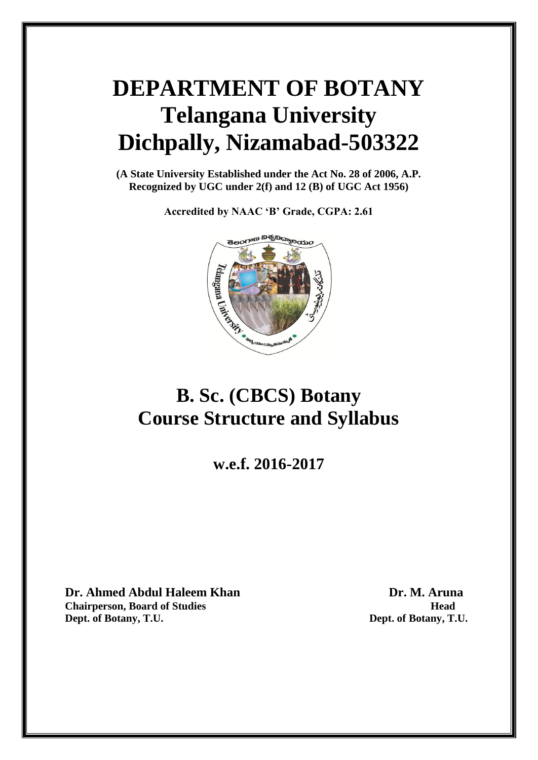# **DEPARTMENT OF BOTANY Telangana University Dichpally, Nizamabad-503322**

**(A State University Established under the Act No. 28 of 2006, A.P. Recognized by UGC under 2(f) and 12 (B) of UGC Act 1956)**

**Accredited by NAAC 'B' Grade, CGPA: 2.61**



## **B. Sc. (CBCS) Botany Course Structure and Syllabus**

**w.e.f. 2016-2017**

**Dr. Ahmed Abdul Haleem Khan Dr. M. Aruna Chairperson, Board of Studies Head Dept. of Botany, T.U. Dept. of Botany, T.U.**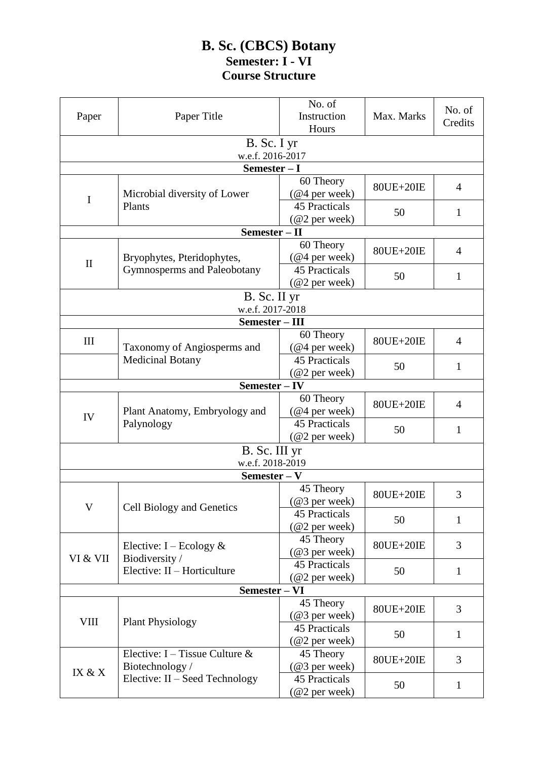### **B. Sc. (CBCS) Botany Semester: I - VI Course Structure**

|               |                                             | No. of                                  |            | No. of       |
|---------------|---------------------------------------------|-----------------------------------------|------------|--------------|
| Paper         | Paper Title                                 | Instruction                             | Max. Marks | Credits      |
|               |                                             | Hours                                   |            |              |
|               | B. Sc. I yr                                 |                                         |            |              |
|               | w.e.f. 2016-2017                            |                                         |            |              |
|               | Semester - I                                |                                         |            |              |
|               |                                             | 60 Theory                               |            |              |
|               | Microbial diversity of Lower                | $(Q4$ per week)                         | 80UE+20IE  | 4            |
| $\bf I$       | Plants                                      | <b>45 Practicals</b>                    |            |              |
|               |                                             | $(Q2$ per week)                         | 50         | 1            |
|               | Semester - II                               |                                         |            |              |
|               |                                             | 60 Theory                               |            |              |
|               | Bryophytes, Pteridophytes,                  | $(Q4$ per week)                         | 80UE+20IE  | 4            |
| $\mathbf{I}$  | Gymnosperms and Paleobotany                 | <b>45 Practicals</b>                    |            |              |
|               |                                             | $(Q2)$ per week)                        | 50         | 1            |
|               | B. Sc. II yr                                |                                         |            |              |
|               | w.e.f. 2017-2018                            |                                         |            |              |
|               | Semester - III                              |                                         |            |              |
|               |                                             | 60 Theory                               |            |              |
| $\rm III$     | Taxonomy of Angiosperms and                 | $(Q4$ per week)                         | 80UE+20IE  | 4            |
|               | <b>Medicinal Botany</b>                     | <b>45 Practicals</b>                    |            |              |
|               |                                             | (@2 per week)                           | 50         | 1            |
|               | Semester – IV                               |                                         |            |              |
|               |                                             |                                         |            |              |
|               | Plant Anatomy, Embryology and<br>Palynology | 60 Theory                               | 80UE+20IE  | 4            |
| IV            |                                             | $(Q4$ per week)<br><b>45 Practicals</b> |            | $\mathbf{1}$ |
|               |                                             |                                         | 50         |              |
|               |                                             | $(Q2)$ per week)                        |            |              |
|               | B. Sc. III yr                               |                                         |            |              |
|               | w.e.f. 2018-2019                            |                                         |            |              |
|               | Semester - V                                |                                         |            |              |
|               |                                             | 45 Theory                               | 80UE+20IE  | 3            |
| V             | Cell Biology and Genetics                   | $(\textcircled{a}3$ per week)           |            |              |
|               |                                             | 45 Practicals                           | 50         | $\mathbf{1}$ |
|               |                                             | $(Q2)$ per week)                        |            |              |
|               | Elective: $I - Ecology &$<br>Biodiversity / | 45 Theory                               | 80UE+20IE  | 3            |
| VI & VII      |                                             | (@3 per week)                           |            |              |
|               | Elective: II - Horticulture                 | <b>45 Practicals</b>                    | 50         | $\mathbf{1}$ |
|               |                                             | $(\omega$ 2 per week)                   |            |              |
| Semester - VI |                                             |                                         |            |              |
| <b>VIII</b>   | <b>Plant Physiology</b>                     | 45 Theory                               | 80UE+20IE  | 3            |
|               |                                             | (@3 per week)                           |            | $\mathbf{1}$ |
|               |                                             | <b>45 Practicals</b>                    | 50         |              |
|               |                                             | $(Q2)$ per week)                        |            |              |
|               | Elective: I – Tissue Culture $\&$           | 45 Theory                               | 80UE+20IE  | 3            |
| IX & X        | Biotechnology/                              | $(\textcircled{a}3$ per week)           |            |              |
|               | Elective: II – Seed Technology              | <b>45 Practicals</b>                    | 50         | $\mathbf{1}$ |
|               |                                             | (@2 per week)                           |            |              |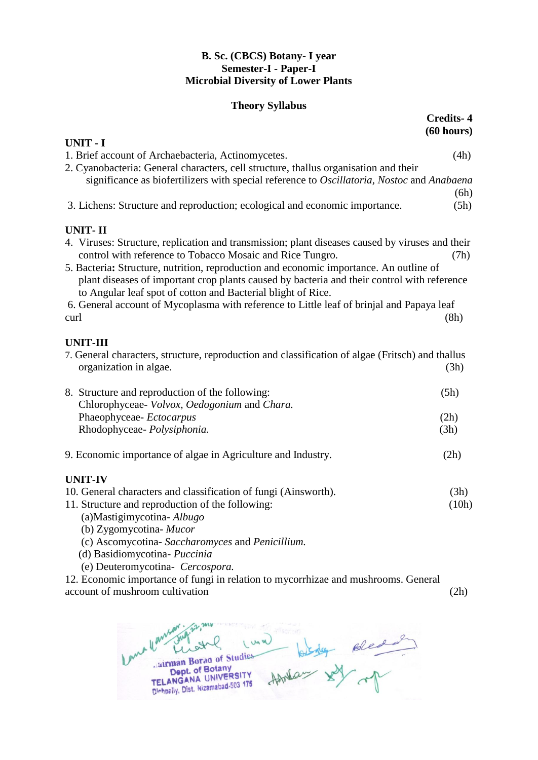### **B. Sc. (CBCS) Botany- I year Semester-I - Paper-I Microbial Diversity of Lower Plants**

### **Theory Syllabus**

|                                                                                                                                                                                                                                                       | <b>Credits-4</b><br>(60 hours) |
|-------------------------------------------------------------------------------------------------------------------------------------------------------------------------------------------------------------------------------------------------------|--------------------------------|
| <b>UNIT - I</b>                                                                                                                                                                                                                                       |                                |
| 1. Brief account of Archaebacteria, Actinomycetes.                                                                                                                                                                                                    | (4h)                           |
| 2. Cyanobacteria: General characters, cell structure, thallus organisation and their                                                                                                                                                                  |                                |
| significance as biofertilizers with special reference to Oscillatoria, Nostoc and Anabaena                                                                                                                                                            |                                |
| 3. Lichens: Structure and reproduction; ecological and economic importance.                                                                                                                                                                           | (6h)<br>(5h)                   |
| <b>UNIT-II</b>                                                                                                                                                                                                                                        |                                |
| 4. Viruses: Structure, replication and transmission; plant diseases caused by viruses and their<br>control with reference to Tobacco Mosaic and Rice Tungro.                                                                                          | (7h)                           |
| 5. Bacteria: Structure, nutrition, reproduction and economic importance. An outline of<br>plant diseases of important crop plants caused by bacteria and their control with reference<br>to Angular leaf spot of cotton and Bacterial blight of Rice. |                                |
| 6. General account of Mycoplasma with reference to Little leaf of brinjal and Papaya leaf                                                                                                                                                             |                                |
| curl                                                                                                                                                                                                                                                  | (8h)                           |
| <b>UNIT-III</b>                                                                                                                                                                                                                                       |                                |
| 7. General characters, structure, reproduction and classification of algae (Fritsch) and thallus<br>organization in algae.                                                                                                                            | (3h)                           |
| 8. Structure and reproduction of the following:                                                                                                                                                                                                       | (5h)                           |
| Chlorophyceae- Volvox, Oedogonium and Chara.                                                                                                                                                                                                          |                                |
| Phaeophyceae-Ectocarpus                                                                                                                                                                                                                               | (2h)                           |
| Rhodophyceae- Polysiphonia.                                                                                                                                                                                                                           | (3h)                           |
| 9. Economic importance of algae in Agriculture and Industry.                                                                                                                                                                                          | (2h)                           |
| <b>UNIT-IV</b>                                                                                                                                                                                                                                        |                                |
| 10. General characters and classification of fungi (Ainsworth).                                                                                                                                                                                       | (3h)                           |
| 11. Structure and reproduction of the following:                                                                                                                                                                                                      | (10h)                          |
| (a) Mastigimy cotina- $Albugo$                                                                                                                                                                                                                        |                                |
| (b) Zygomycotina- Mucor                                                                                                                                                                                                                               |                                |
| (c) Ascomycotina-Saccharomyces and Penicillium.                                                                                                                                                                                                       |                                |
| (d) Basidiomycotina- Puccinia                                                                                                                                                                                                                         |                                |
| (e) Deuteromycotina- Cercospora.                                                                                                                                                                                                                      |                                |
| 12. Economic importance of fungi in relation to mycorrhizae and mushrooms. General<br>account of mushroom cultivation                                                                                                                                 | (2h)                           |
|                                                                                                                                                                                                                                                       |                                |

len Luna Howland soled  $\mathcal{Q}$  $4$ EL ANGANA UNIVERSITY<br>Dept. of Botany<br>TELANGANA UNIVERSITY<br>Dishpally, Dist. Nizamabad-503 175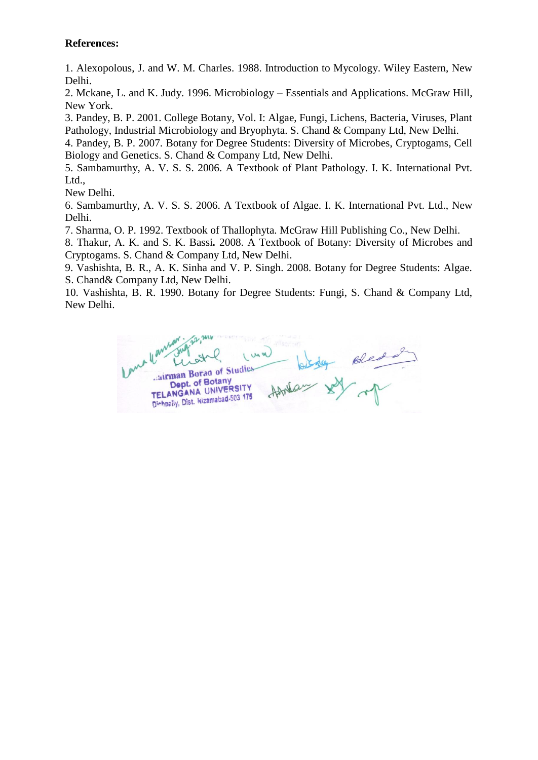1. Alexopolous, J. and W. M. Charles. 1988. Introduction to Mycology. Wiley Eastern, New Delhi.

2. Mckane, L. and K. Judy. 1996. Microbiology – Essentials and Applications. McGraw Hill, New York.

3. Pandey, B. P. 2001. College Botany, Vol. I: Algae, Fungi, Lichens, Bacteria, Viruses, Plant Pathology, Industrial Microbiology and Bryophyta. S. Chand & Company Ltd, New Delhi.

4. Pandey, B. P. 2007. Botany for Degree Students: Diversity of Microbes, Cryptogams, Cell Biology and Genetics. S. Chand & Company Ltd, New Delhi.

5. Sambamurthy, A. V. S. S. 2006. A Textbook of Plant Pathology. I. K. International Pvt. Ltd.,

New Delhi.

6. Sambamurthy, A. V. S. S. 2006. A Textbook of Algae. I. K. International Pvt. Ltd., New Delhi.

7. Sharma, O. P. 1992. Textbook of Thallophyta. McGraw Hill Publishing Co., New Delhi.

8. Thakur, A. K. and S. K. Bassi*.* 2008. A Textbook of Botany: Diversity of Microbes and Cryptogams. S. Chand & Company Ltd, New Delhi.

9. Vashishta, B. R., A. K. Sinha and V. P. Singh. 2008. Botany for Degree Students: Algae. S. Chand& Company Ltd, New Delhi.

10. Vashishta, B. R. 1990. Botany for Degree Students: Fungi, S. Chand & Company Ltd, New Delhi.

Jairman Borag of Studies Dept. of Botany Dept. of Botany<br>TELANGANA UNIVERSITY TELANGANA UNIVERSITY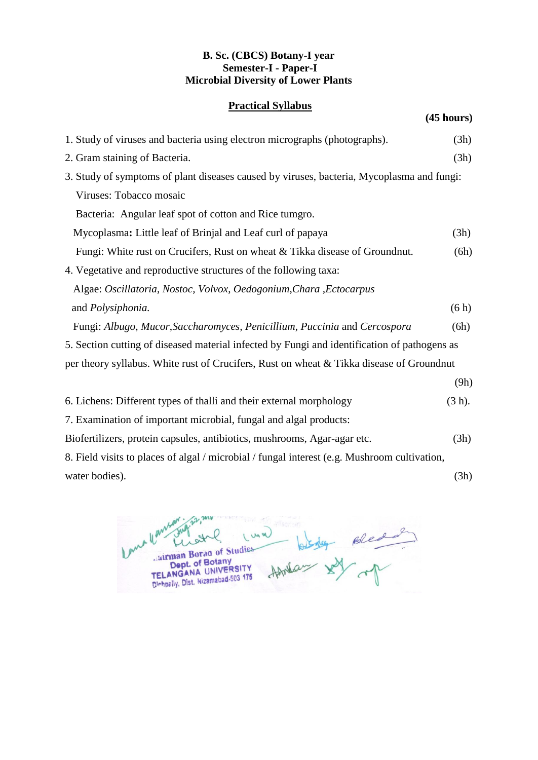### **B. Sc. (CBCS) Botany-I year Semester-I - Paper-I Microbial Diversity of Lower Plants**

### **Practical Syllabus**

**(45 hours)**

| 1. Study of viruses and bacteria using electron micrographs (photographs).                   | (3h)      |
|----------------------------------------------------------------------------------------------|-----------|
| 2. Gram staining of Bacteria.                                                                | (3h)      |
| 3. Study of symptoms of plant diseases caused by viruses, bacteria, Mycoplasma and fungi:    |           |
| Viruses: Tobacco mosaic                                                                      |           |
| Bacteria: Angular leaf spot of cotton and Rice tumgro.                                       |           |
| Mycoplasma: Little leaf of Brinjal and Leaf curl of papaya                                   | (3h)      |
| Fungi: White rust on Crucifers, Rust on wheat & Tikka disease of Groundnut.                  | (6h)      |
| 4. Vegetative and reproductive structures of the following taxa:                             |           |
| Algae: Oscillatoria, Nostoc, Volvox, Oedogonium, Chara, Ectocarpus                           |           |
| and Polysiphonia.                                                                            | (6h)      |
| Fungi: Albugo, Mucor, Saccharomyces, Penicillium, Puccinia and Cercospora                    | (6h)      |
| 5. Section cutting of diseased material infected by Fungi and identification of pathogens as |           |
| per theory syllabus. White rust of Crucifers, Rust on wheat & Tikka disease of Groundnut     |           |
|                                                                                              | (9h)      |
| 6. Lichens: Different types of thalli and their external morphology                          | $(3 h)$ . |
| 7. Examination of important microbial, fungal and algal products:                            |           |
| Biofertilizers, protein capsules, antibiotics, mushrooms, Agar-agar etc.                     | (3h)      |
| 8. Field visits to places of algal / microbial / fungal interest (e.g. Mushroom cultivation, |           |
| water bodies).                                                                               | (3h)      |

birder Bled<br>aux XX mp Un ul  $\overline{\mathbf{A}}$  $\overline{a}$ EL ANGANA UNIVERSITY<br>Dept. of Botany<br>TELANGANA UNIVERSITY<br>Dishpally, Dist. Nizamabad-503 175 AAM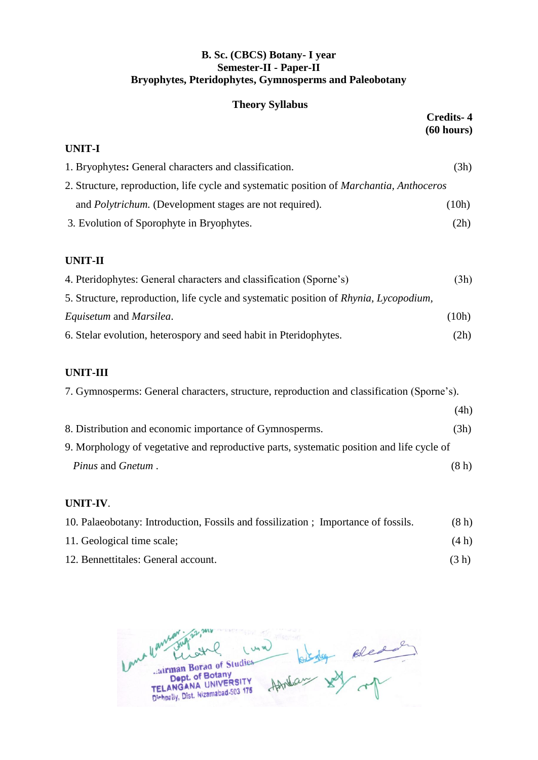### **B. Sc. (CBCS) Botany- I year Semester-II - Paper-II Bryophytes, Pteridophytes, Gymnosperms and Paleobotany**

### **Theory Syllabus**

|                                                                                                 | <b>Credits-4</b><br>(60 hours) |
|-------------------------------------------------------------------------------------------------|--------------------------------|
| UNIT-I                                                                                          |                                |
| 1. Bryophytes: General characters and classification.                                           | (3h)                           |
| 2. Structure, reproduction, life cycle and systematic position of <i>Marchantia, Anthoceros</i> |                                |
| and <i>Polytrichum</i> . (Development stages are not required).                                 | (10h)                          |
| 3. Evolution of Sporophyte in Bryophytes.                                                       | (2h)                           |
| <b>UNIT-II</b>                                                                                  |                                |
| 4. Pteridophytes: General characters and classification (Sporne's)                              | (3h)                           |
| 5. Structure, reproduction, life cycle and systematic position of Rhynia, Lycopodium,           |                                |
| <i>Equisetum</i> and <i>Marsilea</i> .                                                          | (10h)                          |
| 6. Stelar evolution, heterospory and seed habit in Pteridophytes.                               | (2h)                           |

### **UNIT-III**

| 7. Gymnosperms: General characters, structure, reproduction and classification (Sporne's). |      |
|--------------------------------------------------------------------------------------------|------|
|                                                                                            | (4h) |
| 8. Distribution and economic importance of Gymnosperms.                                    | (3h) |
| 9. Morphology of vegetative and reproductive parts, systematic position and life cycle of  |      |
| <i>Pinus</i> and <i>Gnetum</i> .                                                           | (8h) |

### **UNIT-IV**.

| 10. Palaeobotany: Introduction, Fossils and fossilization; Importance of fossils. | (8h)  |
|-----------------------------------------------------------------------------------|-------|
| 11. Geological time scale;                                                        | (4 h) |
| 12. Bennettitales: General account.                                               | (3 h) |

anna the Blead 1 Una EL ANGANA UNIVERSITY<br>Dept. of Botany<br>TELANGANA UNIVERSITY<br>Dishpally, Dist. Nizamabad-503 175 Affricas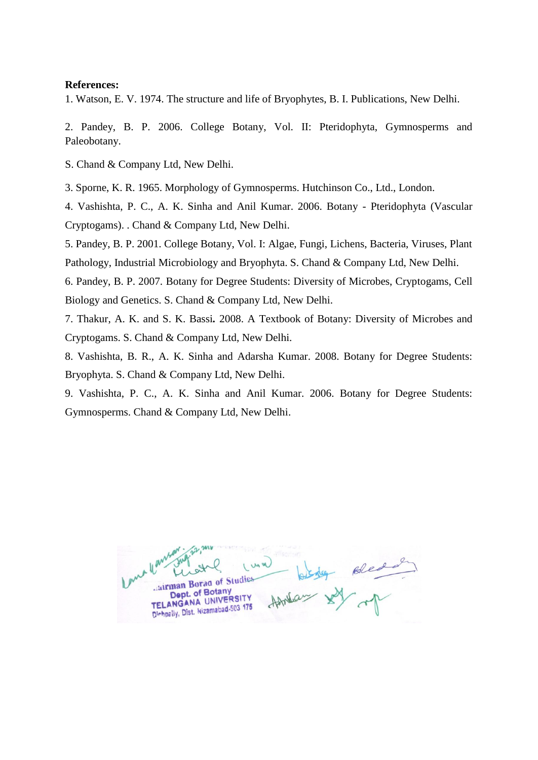1. Watson, E. V. 1974. The structure and life of Bryophytes, B. I. Publications, New Delhi.

2. Pandey, B. P. 2006. College Botany, Vol. II: Pteridophyta, Gymnosperms and Paleobotany.

S. Chand & Company Ltd, New Delhi.

3. Sporne, K. R. 1965. Morphology of Gymnosperms. Hutchinson Co., Ltd., London.

4. Vashishta, P. C., A. K. Sinha and Anil Kumar. 2006. Botany - Pteridophyta (Vascular Cryptogams). . Chand & Company Ltd, New Delhi.

5. Pandey, B. P. 2001. College Botany, Vol. I: Algae, Fungi, Lichens, Bacteria, Viruses, Plant Pathology, Industrial Microbiology and Bryophyta. S. Chand & Company Ltd, New Delhi.

6. Pandey, B. P. 2007. Botany for Degree Students: Diversity of Microbes, Cryptogams, Cell Biology and Genetics. S. Chand & Company Ltd, New Delhi.

7. Thakur, A. K. and S. K. Bassi*.* 2008. A Textbook of Botany: Diversity of Microbes and Cryptogams. S. Chand & Company Ltd, New Delhi.

8. Vashishta, B. R., A. K. Sinha and Adarsha Kumar. 2008. Botany for Degree Students: Bryophyta. S. Chand & Company Ltd, New Delhi.

9. Vashishta, P. C., A. K. Sinha and Anil Kumar. 2006. Botany for Degree Students: Gymnosperms. Chand & Company Ltd, New Delhi.

llants of Bledd airman Borag of Studies Dept. of Botany ANGANA UNIVER TELANGANA UNIVERSITY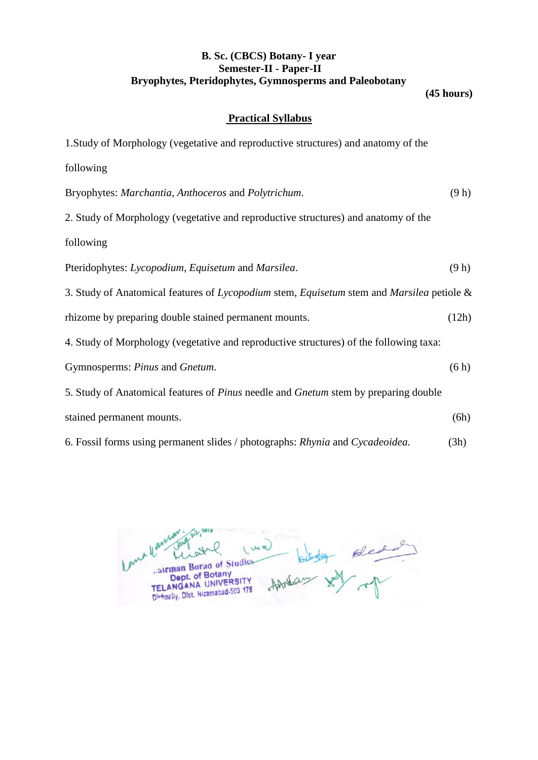### **B. Sc. (CBCS) Botany- I year Semester-II - Paper-II Bryophytes, Pteridophytes, Gymnosperms and Paleobotany**

**(45 hours)**

### **Practical Syllabus**

| 1. Study of Morphology (vegetative and reproductive structures) and anatomy of the        |       |
|-------------------------------------------------------------------------------------------|-------|
| following                                                                                 |       |
| Bryophytes: Marchantia, Anthoceros and Polytrichum.                                       | (9 h) |
| 2. Study of Morphology (vegetative and reproductive structures) and anatomy of the        |       |
| following                                                                                 |       |
| Pteridophytes: Lycopodium, Equisetum and Marsilea.                                        | (9 h) |
| 3. Study of Anatomical features of Lycopodium stem, Equisetum stem and Marsilea petiole & |       |
| rhizome by preparing double stained permanent mounts.                                     | (12h) |
| 4. Study of Morphology (vegetative and reproductive structures) of the following taxa:    |       |
| Gymnosperms: Pinus and Gnetum.                                                            | (6h)  |
| 5. Study of Anatomical features of Pinus needle and Gnetum stem by preparing double       |       |
| stained permanent mounts.                                                                 | (6h)  |
| 6. Fossil forms using permanent slides / photographs: Rhynia and Cycadeoidea.             | (3h)  |

languar Howlas sy op Luna airman Borad of Studies Cairman Borad of Studies<br>Dept. of Botany<br>TELANGANA UNIVERSITY<br>Distingly, Dist. Nizamabad-503 175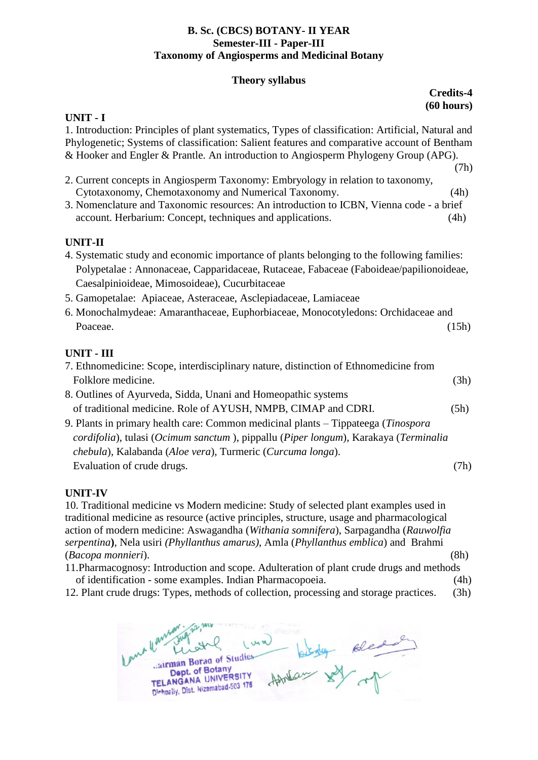### **B. Sc. (CBCS) BOTANY- II YEAR Semester-III - Paper-III Taxonomy of Angiosperms and Medicinal Botany**

### **Theory syllabus**

### **Credits-4 (60 hours)**

### **UNIT - I**

1. Introduction: Principles of plant systematics, Types of classification: Artificial, Natural and Phylogenetic; Systems of classification: Salient features and comparative account of Bentham & Hooker and Engler & Prantle. An introduction to Angiosperm Phylogeny Group (APG).

- (7h) 2. Current concepts in Angiosperm Taxonomy: Embryology in relation to taxonomy, Cytotaxonomy, Chemotaxonomy and Numerical Taxonomy. (4h)
- 3. Nomenclature and Taxonomic resources: An introduction to ICBN, Vienna code a brief account. Herbarium: Concept, techniques and applications. (4h)

### **UNIT-II**

- 4. Systematic study and economic importance of plants belonging to the following families: Polypetalae : Annonaceae, Capparidaceae, Rutaceae, Fabaceae (Faboideae/papilionoideae, Caesalpinioideae, Mimosoideae), Cucurbitaceae
- 5. Gamopetalae: Apiaceae, Asteraceae, Asclepiadaceae, Lamiaceae
- 6. Monochalmydeae: Amaranthaceae, Euphorbiaceae, Monocotyledons: Orchidaceae and Poaceae. (15h)

### **UNIT - III**

- 7. Ethnomedicine: Scope, interdisciplinary nature, distinction of Ethnomedicine from Folklore medicine. (3h)
- 8. Outlines of Ayurveda, Sidda, Unani and Homeopathic systems of traditional medicine. Role of AYUSH, NMPB, CIMAP and CDRI. (5h)
- 9. Plants in primary health care: Common medicinal plants Tippateega (*Tinospora cordifolia*), tulasi (*Ocimum sanctum* ), pippallu (*Piper longum*), Karakaya (*Terminalia chebula*), Kalabanda (*Aloe vera*), Turmeric (*Curcuma longa*). Evaluation of crude drugs. (7h)

### **UNIT-IV**

10. Traditional medicine vs Modern medicine: Study of selected plant examples used in traditional medicine as resource (active principles, structure, usage and pharmacological action of modern medicine: Aswagandha (*Withania somnifera*), Sarpagandha (*Rauwolfia serpentina***)***,* Nela usiri *(Phyllanthus amarus),* Amla (*Phyllanthus emblica*) and Brahmi (*Bacopa monnieri*). (8h)

11.Pharmacognosy: Introduction and scope. Adulteration of plant crude drugs and methods of identification - some examples. Indian Pharmacopoeia. (4h)

12. Plant crude drugs: Types, methods of collection, processing and storage practices. (3h)

and learned Howland soledar airman Borag of Studies Dept. of Botany Dept. of Botally<br>TELANGANA UNIVERSITY TELANGANA UNIVERSITY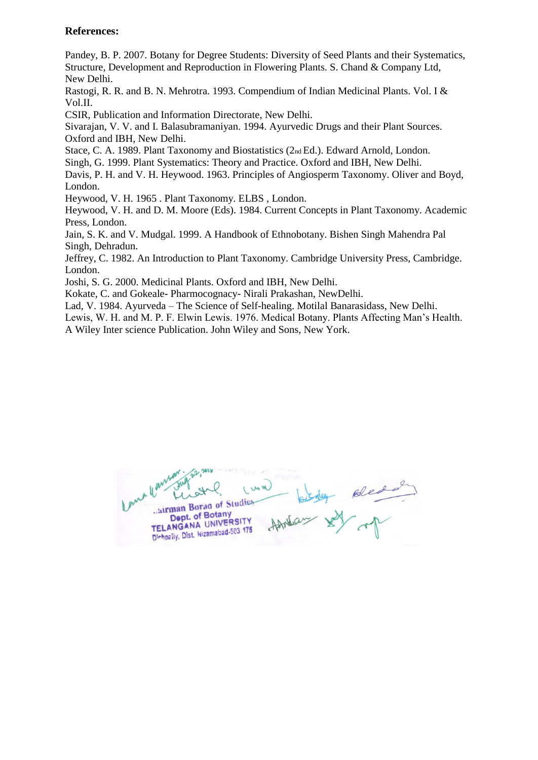Pandey, B. P. 2007. Botany for Degree Students: Diversity of Seed Plants and their Systematics, Structure, Development and Reproduction in Flowering Plants. S. Chand & Company Ltd, New Delhi.

Rastogi, R. R. and B. N. Mehrotra. 1993. Compendium of Indian Medicinal Plants. Vol. I & Vol.II.

CSIR, Publication and Information Directorate, New Delhi.

Sivarajan, V. V. and I. Balasubramaniyan. 1994. Ayurvedic Drugs and their Plant Sources. Oxford and IBH, New Delhi.

Stace, C. A. 1989. Plant Taxonomy and Biostatistics (2nd Ed.). Edward Arnold, London.

Singh, G. 1999. Plant Systematics: Theory and Practice. Oxford and IBH, New Delhi.

Davis, P. H. and V. H. Heywood. 1963. Principles of Angiosperm Taxonomy. Oliver and Boyd, London.

Heywood, V. H. 1965 . Plant Taxonomy. ELBS , London.

Heywood, V. H. and D. M. Moore (Eds). 1984. Current Concepts in Plant Taxonomy. Academic Press, London.

Jain, S. K. and V. Mudgal. 1999. A Handbook of Ethnobotany. Bishen Singh Mahendra Pal Singh, Dehradun.

Jeffrey, C. 1982. An Introduction to Plant Taxonomy. Cambridge University Press, Cambridge. London.

Joshi, S. G. 2000. Medicinal Plants. Oxford and IBH, New Delhi.

Kokate, C. and Gokeale- Pharmocognacy- Nirali Prakashan, NewDelhi.

Lad, V. 1984. Ayurveda – The Science of Self-healing. Motilal Banarasidass, New Delhi.

Lewis, W. H. and M. P. F. Elwin Lewis. 1976. Medical Botany. Plants Affecting Man's Health. A Wiley Inter science Publication. John Wiley and Sons, New York.

Jairman Borag of Studies Dept. of Botany Dept. of Botaliy<br>TELANGANA UNIVERSITY TELANGANA UNIVERSITY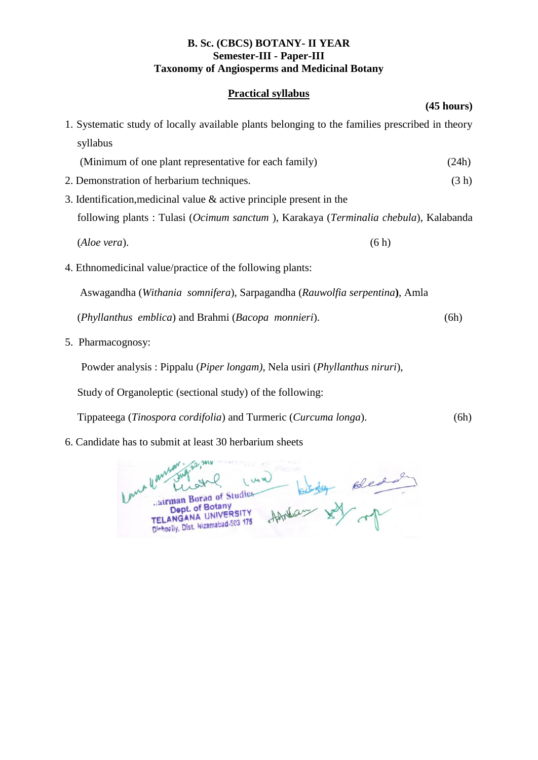### **B. Sc. (CBCS) BOTANY- II YEAR Semester-III - Paper-III Taxonomy of Angiosperms and Medicinal Botany**

### **Practical syllabus**

|                                                                                                | (45 hours) |
|------------------------------------------------------------------------------------------------|------------|
| 1. Systematic study of locally available plants belonging to the families prescribed in theory |            |
| syllabus                                                                                       |            |
| (Minimum of one plant representative for each family)                                          | (24h)      |
| 2. Demonstration of herbarium techniques.                                                      | (3 h)      |
| 3. Identification, medicinal value $\&$ active principle present in the                        |            |
| following plants: Tulasi (Ocimum sanctum), Karakaya (Terminalia chebula), Kalabanda            |            |
| (Aloe vera).<br>(6h)                                                                           |            |
| 4. Ethnomedicinal value/practice of the following plants:                                      |            |
| Aswagandha (Withania somnifera), Sarpagandha (Rauwolfia serpentina), Amla                      |            |
| (Phyllanthus emblica) and Brahmi (Bacopa monnieri).                                            | (6h)       |
| 5. Pharmacognosy:                                                                              |            |
| Powder analysis: Pippalu (Piper longam), Nela usiri (Phyllanthus niruri),                      |            |

Study of Organoleptic (sectional study) of the following:

Tippateega (*Tinospora cordifolia*) and Turmeric (*Curcuma longa*). (6h)

6. Candidate has to submit at least 30 herbarium sheets

me lan Warry Surface (und) blades Bleder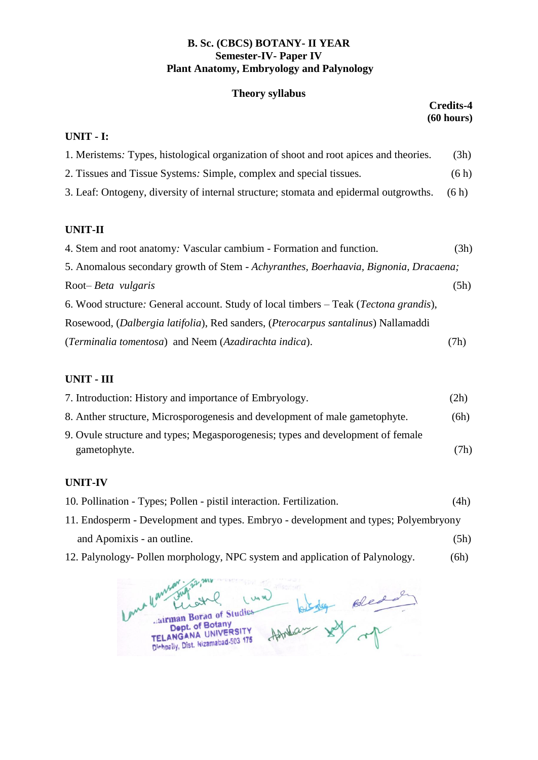### **B. Sc. (CBCS) BOTANY- II YEAR Semester-IV- Paper IV Plant Anatomy, Embryology and Palynology**

### **Theory syllabus**

|                                                                                               | <b>Credits-4</b><br>(60 hours) |
|-----------------------------------------------------------------------------------------------|--------------------------------|
| UNIT - I:                                                                                     |                                |
| 1. Meristems: Types, histological organization of shoot and root apices and theories.         | (3h)                           |
| 2. Tissues and Tissue Systems: Simple, complex and special tissues.                           | (6h)                           |
| 3. Leaf: Ontogeny, diversity of internal structure; stomata and epidermal outgrowths.         | (6h)                           |
| <b>UNIT-II</b>                                                                                |                                |
| 4. Stem and root anatomy: Vascular cambium - Formation and function.                          | (3h)                           |
| 5. Anomalous secondary growth of Stem - Achyranthes, Boerhaavia, Bignonia, Dracaena;          |                                |
| Root- <i>Beta vulgaris</i>                                                                    | (5h)                           |
| 6. Wood structure: General account. Study of local timbers – Teak ( <i>Tectona grandis</i> ), |                                |
| Rosewood, (Dalbergia latifolia), Red sanders, (Pterocarpus santalinus) Nallamaddi             |                                |
| (Terminalia tomentosa) and Neem (Azadirachta indica).                                         | (7h)                           |

### **UNIT - III**

| 7. Introduction: History and importance of Embryology.                          | (2h) |
|---------------------------------------------------------------------------------|------|
| 8. Anther structure, Microsporogenesis and development of male gametophyte.     | (6h) |
| 9. Ovule structure and types; Megasporogenesis; types and development of female |      |
| gametophyte.                                                                    | (7h) |
|                                                                                 |      |

### **UNIT-IV**

- 10. Pollination Types; Pollen pistil interaction. Fertilization. (4h)
- 11. Endosperm Development and types. Embryo development and types; Polyembryony and Apomixis - an outline. (5h)
- 12. Palynology- Pollen morphology, NPC system and application of Palynology. (6h)

me Hansan Howland of the mother Luna la airman Borag of Studies Dept. of Botany<br>Dept. of Botany<br>TELANGANA UNIVERSITY TELANGANA UNIVERSITY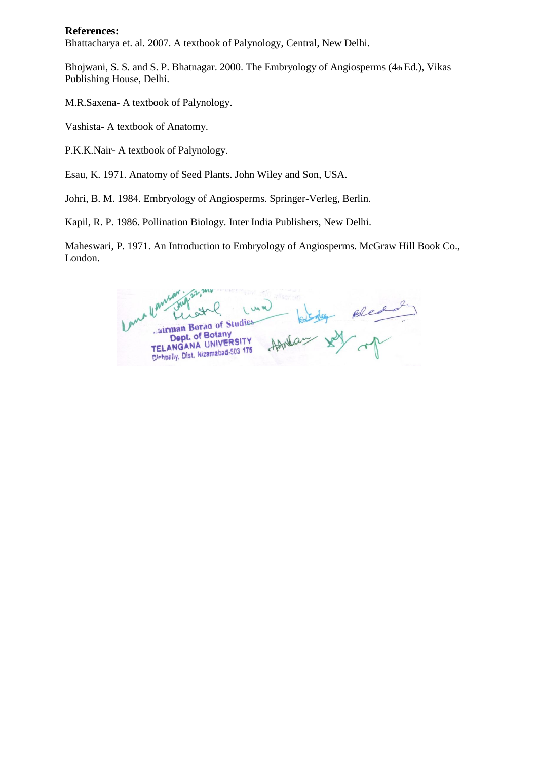Bhattacharya et. al. 2007. A textbook of Palynology, Central, New Delhi.

Bhojwani, S. S. and S. P. Bhatnagar. 2000. The Embryology of Angiosperms (4th Ed.), Vikas Publishing House, Delhi.

M.R.Saxena- A textbook of Palynology.

Vashista- A textbook of Anatomy.

P.K.K.Nair- A textbook of Palynology.

Esau, K. 1971. Anatomy of Seed Plants. John Wiley and Son, USA.

Johri, B. M. 1984. Embryology of Angiosperms. Springer-Verleg, Berlin.

Kapil, R. P. 1986. Pollination Biology. Inter India Publishers, New Delhi.

Maheswari, P. 1971. An Introduction to Embryology of Angiosperms. McGraw Hill Book Co., London.

bling Blead 1 Un un airman Borag of Studies Dept. of Botany Andas Dept. of Botany<br>ANGANA UNIVERSITY TELANGANA UNIVERSITY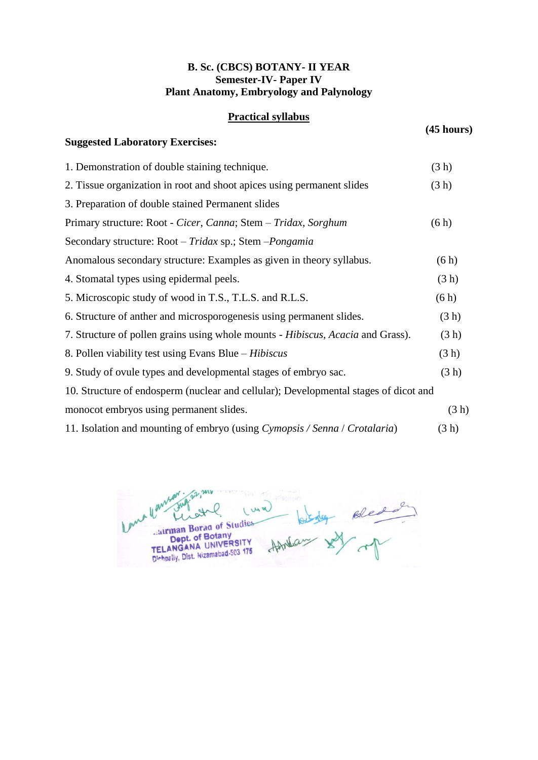### **B. Sc. (CBCS) BOTANY- II YEAR Semester-IV- Paper IV Plant Anatomy, Embryology and Palynology**

### **Practical syllabus**

**Suggested Laboratory Exercises:**

### **(45 hours)**

| 1. Demonstration of double staining technique.                                       | (3 h) |
|--------------------------------------------------------------------------------------|-------|
| 2. Tissue organization in root and shoot apices using permanent slides               | (3 h) |
| 3. Preparation of double stained Permanent slides                                    |       |
| Primary structure: Root - Cicer, Canna; Stem – Tridax, Sorghum                       | (6h)  |
| Secondary structure: Root - Tridax sp.; Stem - Pongamia                              |       |
| Anomalous secondary structure: Examples as given in theory syllabus.                 | (6h)  |
| 4. Stomatal types using epidermal peels.                                             | (3 h) |
| 5. Microscopic study of wood in T.S., T.L.S. and R.L.S.                              | (6h)  |
| 6. Structure of anther and microsporogenesis using permanent slides.                 | (3 h) |
| 7. Structure of pollen grains using whole mounts - Hibiscus, Acacia and Grass).      | (3 h) |
| 8. Pollen viability test using Evans Blue – <i>Hibiscus</i>                          | (3 h) |
| 9. Study of ovule types and developmental stages of embryo sac.                      | (3 h) |
| 10. Structure of endosperm (nuclear and cellular); Developmental stages of dicot and |       |
| monocot embryos using permanent slides.                                              | (3 h) |
| 11. Isolation and mounting of embryo (using Cymopsis / Senna / Crotalaria)           | (3 h) |

Homes sy op I Us us EL ANGANA UNIVERSITY<br>Dept. of Botany<br>TELANGANA UNIVERSITY<br>Dishpally, Dist. Nizamabad-503 175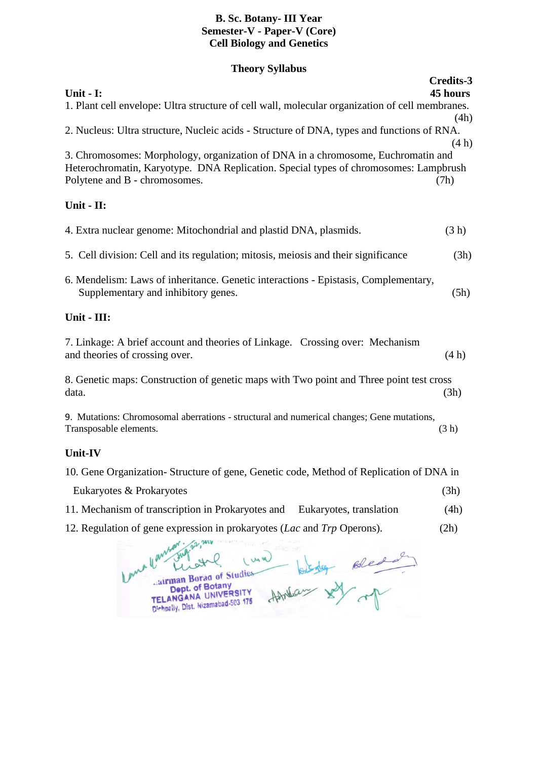### **B. Sc. Botany- III Year Semester-V - Paper-V (Core) Cell Biology and Genetics**

### **Theory Syllabus**

| Unit - I:                                                                                                                                                                | Credits-3<br>45 hours |
|--------------------------------------------------------------------------------------------------------------------------------------------------------------------------|-----------------------|
| 1. Plant cell envelope: Ultra structure of cell wall, molecular organization of cell membranes.                                                                          |                       |
|                                                                                                                                                                          | (4h)                  |
| 2. Nucleus: Ultra structure, Nucleic acids - Structure of DNA, types and functions of RNA.                                                                               |                       |
|                                                                                                                                                                          | (4h)                  |
| 3. Chromosomes: Morphology, organization of DNA in a chromosome, Euchromatin and<br>Heterochromatin, Karyotype. DNA Replication. Special types of chromosomes: Lampbrush |                       |
| Polytene and B - chromosomes.                                                                                                                                            | (7h)                  |
| Unit - II:                                                                                                                                                               |                       |
| 4. Extra nuclear genome: Mitochondrial and plastid DNA, plasmids.                                                                                                        | (3 h)                 |
| 5. Cell division: Cell and its regulation; mitosis, meiosis and their significance                                                                                       | (3h)                  |
| 6. Mendelism: Laws of inheritance. Genetic interactions - Epistasis, Complementary,<br>Supplementary and inhibitory genes.                                               | (5h)                  |
| Unit - III:                                                                                                                                                              |                       |
| 7. Linkage: A brief account and theories of Linkage. Crossing over: Mechanism<br>and theories of crossing over.                                                          | (4h)                  |
| 8. Genetic maps: Construction of genetic maps with Two point and Three point test cross<br>data.                                                                         | (3h)                  |
| 9. Mutations: Chromosomal aberrations - structural and numerical changes; Gene mutations,<br>Transposable elements.                                                      | (3 h)                 |
| Unit-IV                                                                                                                                                                  |                       |

| 10. Gene Organization - Structure of gene, Genetic code, Method of Replication of DNA in |  |      |  |
|------------------------------------------------------------------------------------------|--|------|--|
| Eukaryotes & Prokaryotes                                                                 |  | (3h) |  |
| 11. Mechanism of transcription in Prokaryotes and Eukaryotes, translation                |  | (4h) |  |

12. Regulation of gene expression in prokaryotes (*Lac* and *Trp* Operons). (2h)

ma llan  $\overline{\rho}$ Luna Howland with one of u airman Borad of Studies Cairman Borad of Studies<br>Dept. of Botany<br>TELANGANA UNIVERSITY<br>Dishpally, Dist. Nizamabad-503 175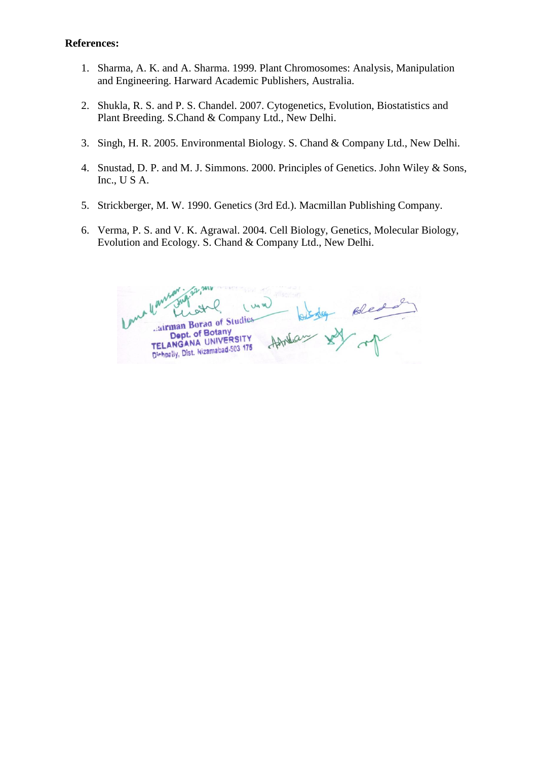- 1. Sharma, A. K. and A. Sharma. 1999. Plant Chromosomes: Analysis, Manipulation and Engineering. Harward Academic Publishers, Australia.
- 2. Shukla, R. S. and P. S. Chandel. 2007. Cytogenetics, Evolution, Biostatistics and Plant Breeding. S.Chand & Company Ltd., New Delhi.
- 3. Singh, H. R. 2005. Environmental Biology. S. Chand & Company Ltd., New Delhi.
- 4. Snustad, D. P. and M. J. Simmons. 2000. Principles of Genetics. John Wiley & Sons, Inc., U S A.
- 5. Strickberger, M. W. 1990. Genetics (3rd Ed.). Macmillan Publishing Company.
- 6. Verma, P. S. and V. K. Agrawal. 2004. Cell Biology, Genetics, Molecular Biology, Evolution and Ecology. S. Chand & Company Ltd., New Delhi.

antar de Bledo airman Borag of Studies Dept. of Botany Astribucy Dept. of Botally<br>TELANGANA UNIVERSITY TELANGANA UNIVERSITY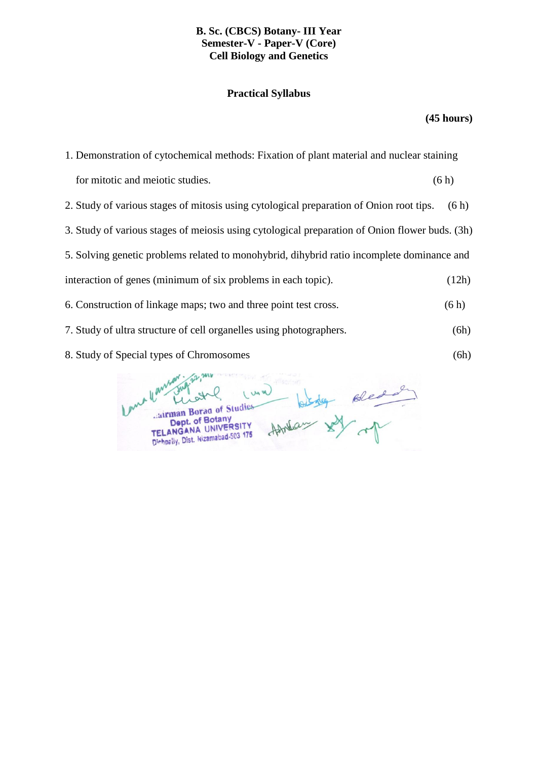### **B. Sc. (CBCS) Botany- III Year Semester-V - Paper-V (Core) Cell Biology and Genetics**

### **Practical Syllabus**

### **(45 hours)**

| 1. Demonstration of cytochemical methods: Fixation of plant material and nuclear staining      |       |  |
|------------------------------------------------------------------------------------------------|-------|--|
| for mitotic and meiotic studies.                                                               | (6h)  |  |
| 2. Study of various stages of mitosis using cytological preparation of Onion root tips.        | (6h)  |  |
| 3. Study of various stages of meiosis using cytological preparation of Onion flower buds. (3h) |       |  |
| 5. Solving genetic problems related to monohybrid, dihybrid ratio incomplete dominance and     |       |  |
| interaction of genes (minimum of six problems in each topic).                                  | (12h) |  |
| 6. Construction of linkage maps; two and three point test cross.                               | (6h)  |  |
| 7. Study of ultra structure of cell organelles using photographers.                            | (6h)  |  |

8. Study of Special types of Chromosomes (6h)

However in the selection  $\omega$ airman Borad of Studies Dept. of Botany Dept. of Botany<br>TELANGANA UNIVERSITY TELANGANA UNIVERSITY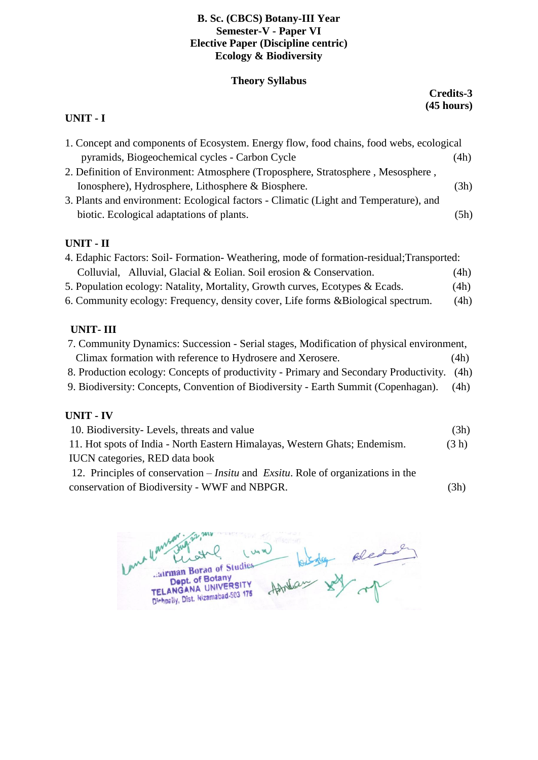### **B. Sc. (CBCS) Botany-III Year Semester-V - Paper VI Elective Paper (Discipline centric) Ecology & Biodiversity**

### **Theory Syllabus**

### **Credits-3 (45 hours)**

### **UNIT - I**

| 1. Concept and components of Ecosystem. Energy flow, food chains, food webs, ecological |      |
|-----------------------------------------------------------------------------------------|------|
| pyramids, Biogeochemical cycles - Carbon Cycle                                          | (4h) |
| 2. Definition of Environment: Atmosphere (Troposphere, Stratosphere, Mesosphere,        |      |
| Ionosphere), Hydrosphere, Lithosphere & Biosphere.                                      | (3h) |
| 3. Plants and environment: Ecological factors - Climatic (Light and Temperature), and   |      |
| biotic. Ecological adaptations of plants.                                               | (5h) |

### **UNIT - II**

| 4. Edaphic Factors: Soil-Formation-Weathering, mode of formation-residual; Transported: |      |  |
|-----------------------------------------------------------------------------------------|------|--|
| Colluvial, Alluvial, Glacial & Eolian. Soil erosion & Conservation.                     | (4h) |  |
| 5. Population ecology: Natality, Mortality, Growth curves, Ecotypes & Ecads.            | (4h) |  |
| 6. Community ecology: Frequency, density cover, Life forms & Biological spectrum.       | (4h) |  |

### **UNIT- III**

| 7. Community Dynamics: Succession - Serial stages, Modification of physical environment, |      |  |
|------------------------------------------------------------------------------------------|------|--|
| Climax formation with reference to Hydrosere and Xerosere.                               | (4h) |  |
| 8. Production ecology: Concepts of productivity - Primary and Secondary Productivity.    | (4h) |  |
| 9. Biodiversity: Concepts, Convention of Biodiversity - Earth Summit (Copenhagan).       |      |  |
|                                                                                          |      |  |

### **UNIT - IV**

| 10. Biodiversity- Levels, threats and value                                                     | (3h)  |
|-------------------------------------------------------------------------------------------------|-------|
| 11. Hot spots of India - North Eastern Himalayas, Western Ghats; Endemism.                      | (3 h) |
| <b>IUCN</b> categories, RED data book                                                           |       |
| 12. Principles of conservation – <i>Insitu</i> and <i>Exsitu</i> . Role of organizations in the |       |
| conservation of Biodiversity - WWF and NBPGR.                                                   | (3h)  |

 $M_{\odot}$ **WAN** airman Borag of Studies Cairman Borad of Studies<br>Dept. of Botany<br>TELANGANA UNIVERSITY<br>Dishpaly, Dist. Nizamabad-503 175 Aftheway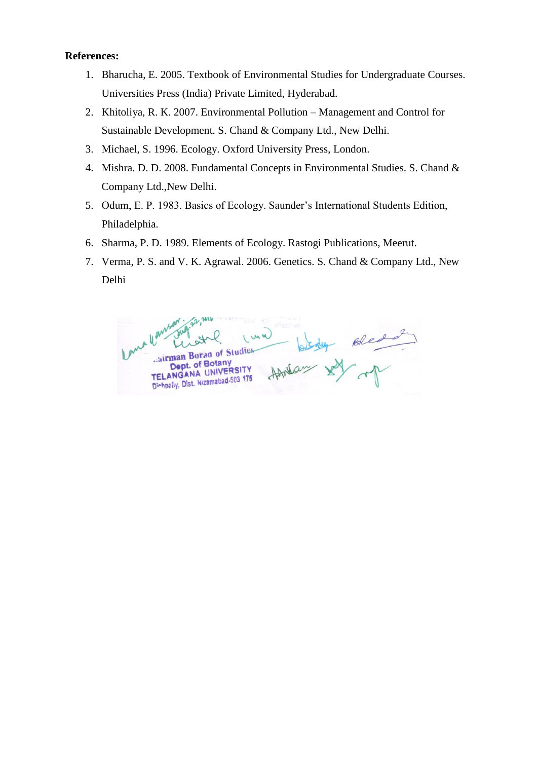- 1. Bharucha, E. 2005. Textbook of Environmental Studies for Undergraduate Courses. Universities Press (India) Private Limited, Hyderabad.
- 2. Khitoliya, R. K. 2007. Environmental Pollution Management and Control for Sustainable Development. S. Chand & Company Ltd., New Delhi.
- 3. Michael, S. 1996. Ecology. Oxford University Press, London.
- 4. Mishra. D. D. 2008. Fundamental Concepts in Environmental Studies. S. Chand & Company Ltd.,New Delhi.
- 5. Odum, E. P. 1983. Basics of Ecology. Saunder's International Students Edition, Philadelphia.
- 6. Sharma, P. D. 1989. Elements of Ecology. Rastogi Publications, Meerut.
- 7. Verma, P. S. and V. K. Agrawal. 2006. Genetics. S. Chand & Company Ltd., New Delhi

Howlas sy you airman Borag of Studies Dept. of Botany ANGANA UNIVE TELANGANA UNIVERSITY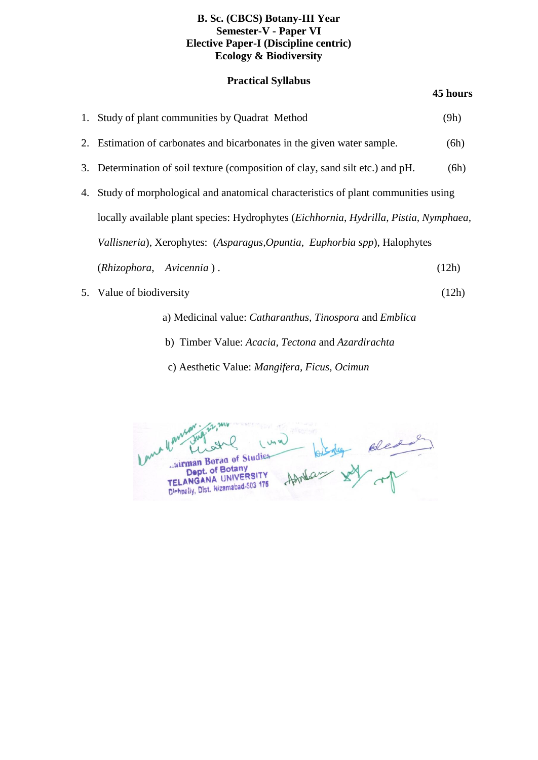### **B. Sc. (CBCS) Botany-III Year Semester-V - Paper VI Elective Paper-I (Discipline centric) Ecology & Biodiversity**

### **Practical Syllabus**

### **45 hours**

| 1. Study of plant communities by Quadrat Method                                       | (9h)  |
|---------------------------------------------------------------------------------------|-------|
| 2. Estimation of carbonates and bicarbonates in the given water sample.               | (6h)  |
| 3. Determination of soil texture (composition of clay, sand silt etc.) and pH.        | (6h)  |
| 4. Study of morphological and anatomical characteristics of plant communities using   |       |
| locally available plant species: Hydrophytes (Eichhornia, Hydrilla, Pistia, Nymphaea, |       |
| Vallisneria), Xerophytes: (Asparagus, Opuntia, Euphorbia spp), Halophytes             |       |
| (Rhizophora, Avicennia).                                                              | (12h) |
| 5. Value of biodiversity                                                              | (12h) |
|                                                                                       |       |

- a) Medicinal value: *Catharanthus, Tinospora* and *Emblica*
- b) Timber Value: *Acacia, Tectona* and *Azardirachta*
- c) Aesthetic Value: *Mangifera, Ficus, Ocimun*

um/ Howland soledan airman Borag of Studies Dept. of Botany Dept. of Botary<br>TELANGANA UNIVERSITY TELANGANA UNIVERSITY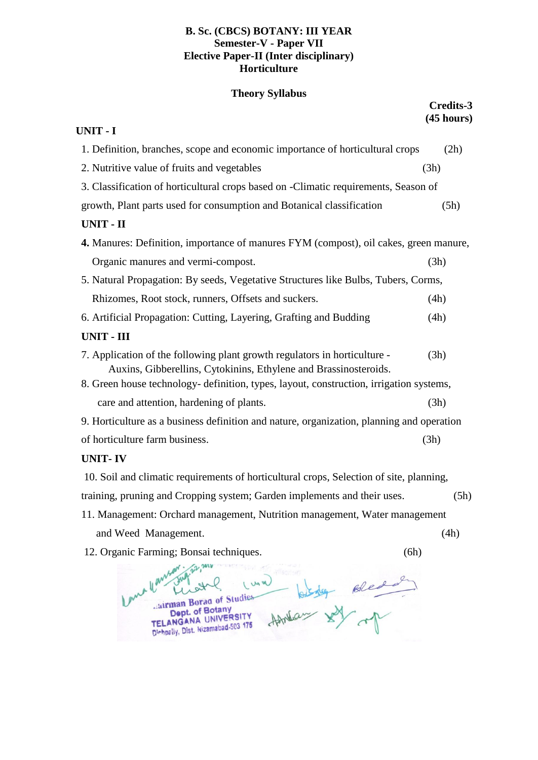### **B. Sc. (CBCS) BOTANY: III YEAR Semester-V - Paper VII Elective Paper-II (Inter disciplinary) Horticulture**

### **Theory Syllabus**

**Credits-3**

| UNIT - I                                                                              |                                                                                                                                               | (45 hours) |
|---------------------------------------------------------------------------------------|-----------------------------------------------------------------------------------------------------------------------------------------------|------------|
|                                                                                       | 1. Definition, branches, scope and economic importance of horticultural crops                                                                 | (2h)       |
|                                                                                       | 2. Nutritive value of fruits and vegetables                                                                                                   | (3h)       |
|                                                                                       | 3. Classification of horticultural crops based on -Climatic requirements, Season of                                                           |            |
|                                                                                       | growth, Plant parts used for consumption and Botanical classification                                                                         | (5h)       |
|                                                                                       | <b>UNIT - II</b>                                                                                                                              |            |
| 4. Manures: Definition, importance of manures FYM (compost), oil cakes, green manure, |                                                                                                                                               |            |
|                                                                                       | Organic manures and vermi-compost.                                                                                                            | (3h)       |
| 5. Natural Propagation: By seeds, Vegetative Structures like Bulbs, Tubers, Corms,    |                                                                                                                                               |            |
|                                                                                       | Rhizomes, Root stock, runners, Offsets and suckers.                                                                                           | (4h)       |
|                                                                                       | 6. Artificial Propagation: Cutting, Layering, Grafting and Budding                                                                            | (4h)       |
|                                                                                       | <b>UNIT - III</b>                                                                                                                             |            |
|                                                                                       | 7. Application of the following plant growth regulators in horticulture -<br>Auxins, Gibberellins, Cytokinins, Ethylene and Brassinosteroids. | (3h)       |
|                                                                                       | 8. Green house technology- definition, types, layout, construction, irrigation systems,                                                       |            |
|                                                                                       | care and attention, hardening of plants.                                                                                                      | (3h)       |
|                                                                                       | 9. Horticulture as a business definition and nature, organization, planning and operation                                                     |            |
|                                                                                       | of horticulture farm business.                                                                                                                | (3h)       |
|                                                                                       |                                                                                                                                               |            |

### **UNIT- IV**

10. Soil and climatic requirements of horticultural crops, Selection of site, planning, training, pruning and Cropping system; Garden implements and their uses. (5h) 11. Management: Orchard management, Nutrition management, Water management

- and Weed Management. (4h)
- 12. Organic Farming; Bonsai techniques. (6h)

- hanny I usa Homes sy op airman Borag of Studies Dept. of Botany Dept. of Botany<br>TELANGANA UNIVERSITY TELANGANA UNIVERSITY<br>Dishpelly, Dist. Nizamabad-503 175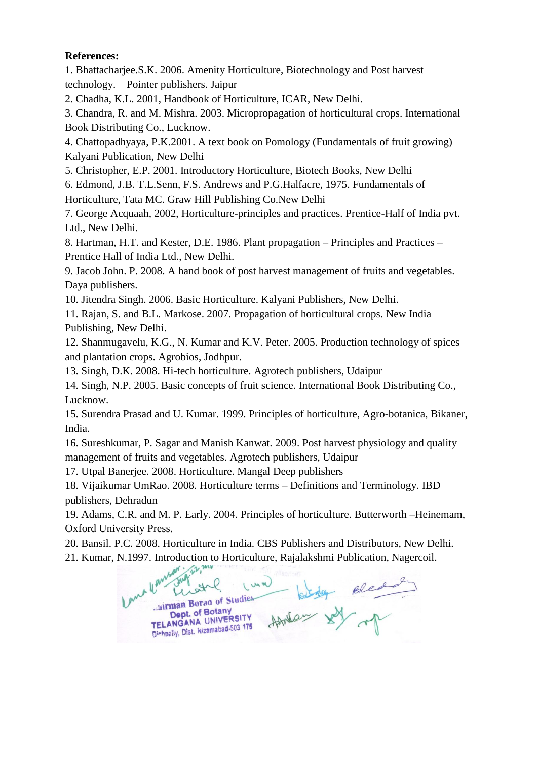1. Bhattacharjee.S.K. 2006. Amenity Horticulture, Biotechnology and Post harvest technology. Pointer publishers. Jaipur

2. Chadha, K.L. 2001, Handbook of Horticulture, ICAR, New Delhi.

3. Chandra, R. and M. Mishra. 2003. Micropropagation of horticultural crops. International Book Distributing Co., Lucknow.

4. Chattopadhyaya, P.K.2001. A text book on Pomology (Fundamentals of fruit growing) Kalyani Publication, New Delhi

5. Christopher, E.P. 2001. Introductory Horticulture, Biotech Books, New Delhi

6. Edmond, J.B. T.L.Senn, F.S. Andrews and P.G.Halfacre, 1975. Fundamentals of Horticulture, Tata MC. Graw Hill Publishing Co.New Delhi

7. George Acquaah, 2002, Horticulture-principles and practices. Prentice-Half of India pvt. Ltd., New Delhi.

8. Hartman, H.T. and Kester, D.E. 1986. Plant propagation – Principles and Practices – Prentice Hall of India Ltd., New Delhi.

9. Jacob John. P. 2008. A hand book of post harvest management of fruits and vegetables. Daya publishers.

10. Jitendra Singh. 2006. Basic Horticulture. Kalyani Publishers, New Delhi.

11. Rajan, S. and B.L. Markose. 2007. Propagation of horticultural crops. New India Publishing, New Delhi.

12. Shanmugavelu, K.G., N. Kumar and K.V. Peter. 2005. Production technology of spices and plantation crops. Agrobios, Jodhpur.

13. Singh, D.K. 2008. Hi-tech horticulture. Agrotech publishers, Udaipur

14. Singh, N.P. 2005. Basic concepts of fruit science. International Book Distributing Co., Lucknow.

15. Surendra Prasad and U. Kumar. 1999. Principles of horticulture, Agro-botanica, Bikaner, India.

16. Sureshkumar, P. Sagar and Manish Kanwat. 2009. Post harvest physiology and quality management of fruits and vegetables. Agrotech publishers, Udaipur

17. Utpal Banerjee. 2008. Horticulture. Mangal Deep publishers

18. Vijaikumar UmRao. 2008. Horticulture terms – Definitions and Terminology. IBD publishers, Dehradun

19. Adams, C.R. and M. P. Early. 2004. Principles of horticulture. Butterworth –Heinemam, Oxford University Press.

20. Bansil. P.C. 2008. Horticulture in India. CBS Publishers and Distributors, New Delhi.

21. Kumar, N.1997. Introduction to Horticulture, Rajalakshmi Publication, Nagercoil.<br>
We will be a street to the wind of the street of the wind of the wind of the wind of the wind of the wind of the wind of the wind of the Handar XX op airman Borag of Studies Dept. of Botany Dept. OF BOLARY<br>TELANGANA UNIVERSITY TELANGANA UNIVERSITY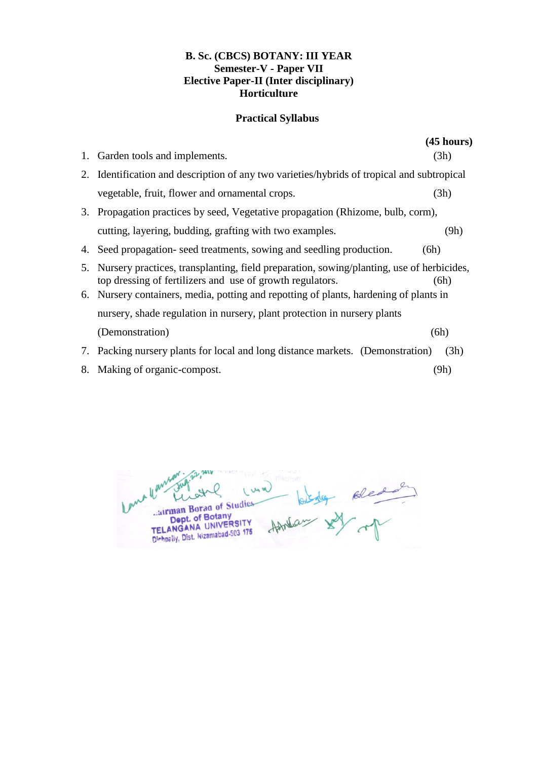### **B. Sc. (CBCS) BOTANY: III YEAR Semester-V - Paper VII Elective Paper-II (Inter disciplinary) Horticulture**

### **Practical Syllabus**

|    |                                                                                                                                                       | $(45 \text{ hours})$ |  |
|----|-------------------------------------------------------------------------------------------------------------------------------------------------------|----------------------|--|
| 1. | Garden tools and implements.                                                                                                                          | (3h)                 |  |
|    | 2. Identification and description of any two varieties/hybrids of tropical and subtropical                                                            |                      |  |
|    | vegetable, fruit, flower and ornamental crops.                                                                                                        | (3h)                 |  |
|    | 3. Propagation practices by seed, Vegetative propagation (Rhizome, bulb, corm),                                                                       |                      |  |
|    | cutting, layering, budding, grafting with two examples.                                                                                               | (9h)                 |  |
|    | 4. Seed propagation-seed treatments, sowing and seedling production.                                                                                  | (6h)                 |  |
| 5. | Nursery practices, transplanting, field preparation, sowing/planting, use of herbicides,<br>top dressing of fertilizers and use of growth regulators. | (6h)                 |  |
|    | 6. Nursery containers, media, potting and repotting of plants, hardening of plants in                                                                 |                      |  |
|    | nursery, shade regulation in nursery, plant protection in nursery plants                                                                              |                      |  |
|    | (Demonstration)                                                                                                                                       | (6h)                 |  |
|    | 7. Packing nursery plants for local and long distance markets. (Demonstration)                                                                        | (3h)                 |  |
|    | 8. Making of organic-compost.                                                                                                                         | (9h)                 |  |

- len However in the one IMA Contract of Studies-<br>Dept. of Botany<br>TELANGANA UNIVERSITY<br>Dishpally, Dist. Nizamabad-503 175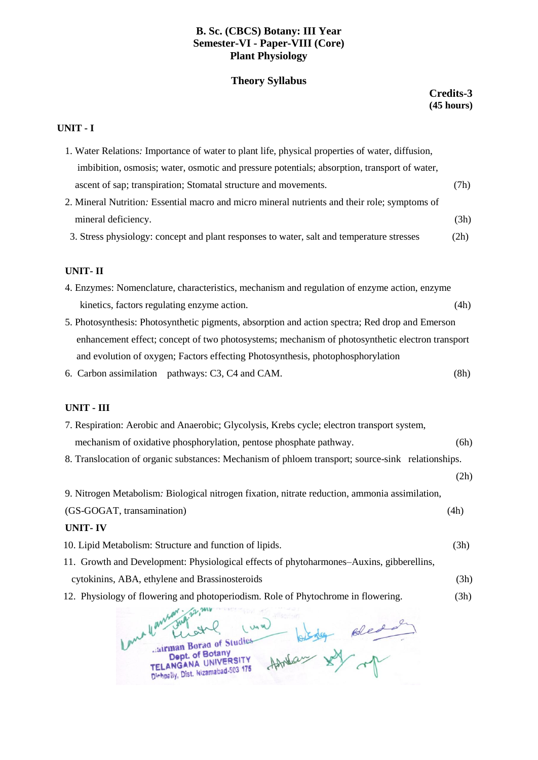### **B. Sc. (CBCS) Botany: III Year Semester-VI - Paper-VIII (Core) Plant Physiology**

### **Theory Syllabus**

### **Credits-3 (45 hours)**

#### **UNIT - I**

| 1. Water Relations: Importance of water to plant life, physical properties of water, diffusion,   |
|---------------------------------------------------------------------------------------------------|
| imbibition, osmosis; water, osmotic and pressure potentials; absorption, transport of water,      |
| (7h)<br>ascent of sap; transpiration; Stomatal structure and movements.                           |
| 2. Mineral Nutrition: Essential macro and micro mineral nutrients and their role; symptoms of     |
| mineral deficiency.<br>(3h)                                                                       |
| 3. Stress physiology: concept and plant responses to water, salt and temperature stresses<br>(2h) |
|                                                                                                   |
| <b>UNIT-II</b>                                                                                    |
| 4. Enzymes: Nomenclature, characteristics, mechanism and regulation of enzyme action, enzyme      |
| kinetics, factors regulating enzyme action.<br>(4h)                                               |
| 5. Photosynthesis: Photosynthetic pigments, absorption and action spectra; Red drop and Emerson   |
| enhancement effect; concept of two photosystems; mechanism of photosynthetic electron transport   |
| and evolution of oxygen; Factors effecting Photosynthesis, photophosphorylation                   |
| 6. Carbon assimilation pathways: C3, C4 and CAM.<br>(8h)                                          |
|                                                                                                   |
| UNIT - III                                                                                        |
| 7. Respiration: Aerobic and Anaerobic; Glycolysis, Krebs cycle; electron transport system,        |
| mechanism of oxidative phosphorylation, pentose phosphate pathway.<br>(6h)                        |

8. Translocation of organic substances: Mechanism of phloem transport; source-sink relationships.

(2h)

| UNIT-IV                                                                                        |      |
|------------------------------------------------------------------------------------------------|------|
| (GS-GOGAT, transamination)                                                                     | (4h) |
| 9. Nitrogen Metabolism: Biological nitrogen fixation, nitrate reduction, ammonia assimilation, |      |

- 10. Lipid Metabolism: Structure and function of lipids. (3h)
- 11. Growth and Development: Physiological effects of phytoharmones–Auxins, gibberellins,
- cytokinins, ABA, ethylene and Brassinosteroids (3h)
- 12. Physiology of flowering and photoperiodism. Role of Phytochrome in flowering. (3h)

Come yours Howland sole of Un W airman Borag of Studies Dept. of Botany Dept. of Botany<br>TELANGANA UNIVERSITY TELANGANA UNIVERSITY<br>Dichpelly, Dist. Nizamabad-503 175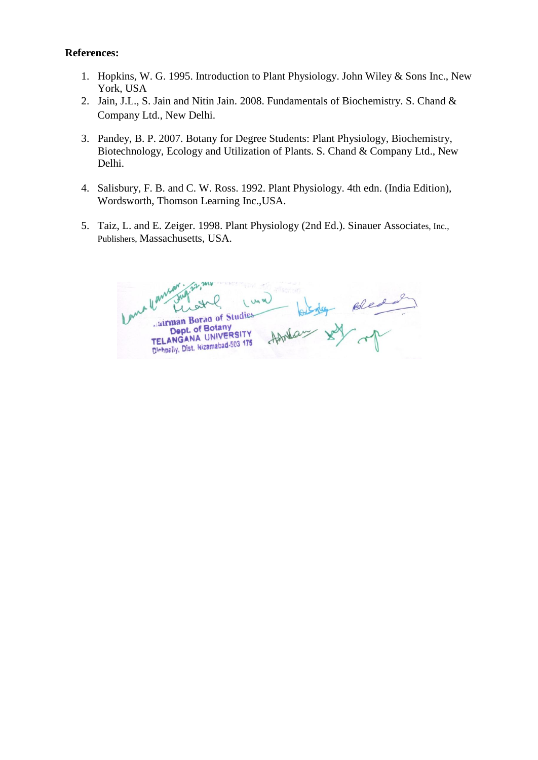- 1. Hopkins, W. G. 1995. Introduction to Plant Physiology. John Wiley & Sons Inc., New York, USA
- 2. Jain, J.L., S. Jain and Nitin Jain. 2008. Fundamentals of Biochemistry. S. Chand & Company Ltd., New Delhi.
- 3. Pandey, B. P. 2007. Botany for Degree Students: Plant Physiology, Biochemistry, Biotechnology, Ecology and Utilization of Plants. S. Chand & Company Ltd., New Delhi.
- 4. Salisbury, F. B. and C. W. Ross. 1992. Plant Physiology. 4th edn. (India Edition), Wordsworth, Thomson Learning Inc.,USA.
- 5. Taiz, L. and E. Zeiger. 1998. Plant Physiology (2nd Ed.). Sinauer Associates, Inc., Publishers, Massachusetts, USA.

of Bledo airman Borag of Studies Dept. of Botany Dept. of Botally<br>TELANGANA UNIVERS TELANGANA UNIVERSITY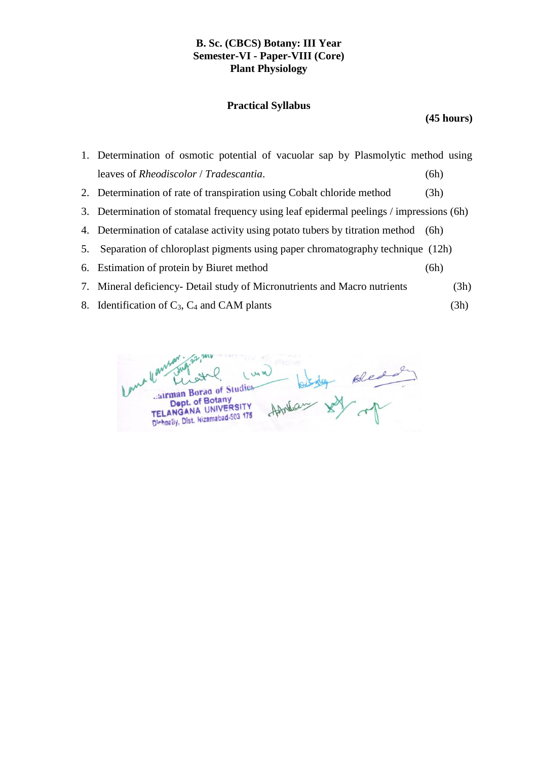### **B. Sc. (CBCS) Botany: III Year Semester-VI - Paper-VIII (Core) Plant Physiology**

### **Practical Syllabus**

**(45 hours)**

| 1. Determination of osmotic potential of vacuolar sap by Plasmolytic method using |      |  |
|-----------------------------------------------------------------------------------|------|--|
| leaves of <i>Rheodiscolor</i> / <i>Tradescantia</i> .                             | (6h) |  |
| 2. Determination of rate of transpiration using Cobalt chloride method            | (3h) |  |

- 3. Determination of stomatal frequency using leaf epidermal peelings / impressions (6h)
- 4. Determination of catalase activity using potato tubers by titration method (6h)
- 5. Separation of chloroplast pigments using paper chromatography technique (12h)
- 6. Estimation of protein by Biuret method (6h)
- 7. Mineral deficiency- Detail study of Micronutrients and Macro nutrients (3h)
- 8. Identification of  $C_3$ ,  $C_4$  and CAM plants (3h)

bledge Bled UM W airman Borag of Studies Dept. of Botany Dept. of Botary<br>TELANGANA UNIVERSITY TELANGANA UNIVERSITY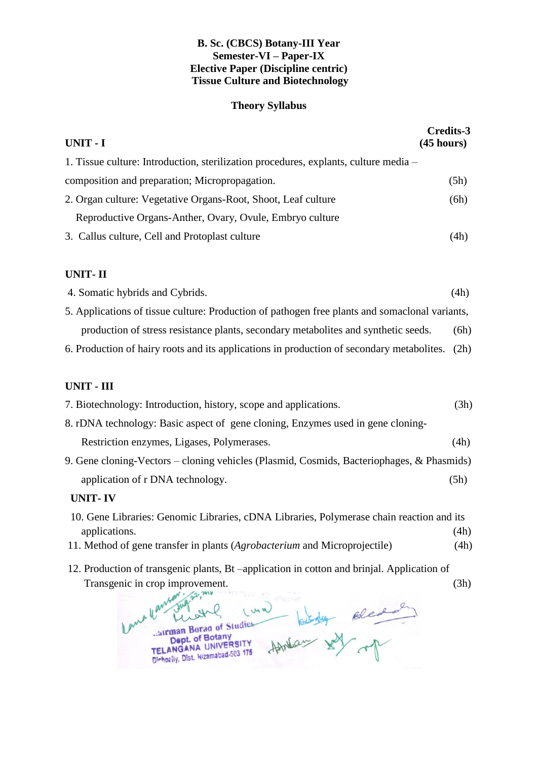### **B. Sc. (CBCS) Botany-III Year Semester-VI – Paper-IX Elective Paper (Discipline centric) Tissue Culture and Biotechnology**

### **Theory Syllabus**

| UNIT - I<br>(45 hours)                                                                                                                       | <b>Credits-3</b> |  |
|----------------------------------------------------------------------------------------------------------------------------------------------|------------------|--|
| 1. Tissue culture: Introduction, sterilization procedures, explants, culture media –                                                         |                  |  |
| composition and preparation; Micropropagation.                                                                                               | (5h)             |  |
| 2. Organ culture: Vegetative Organs-Root, Shoot, Leaf culture                                                                                | (6h)             |  |
| Reproductive Organs-Anther, Ovary, Ovule, Embryo culture                                                                                     |                  |  |
| 3. Callus culture, Cell and Protoplast culture                                                                                               | (4h)             |  |
| <b>UNIT-II</b>                                                                                                                               |                  |  |
| 4. Somatic hybrids and Cybrids.                                                                                                              | (4h)             |  |
| 5. Applications of tissue culture: Production of pathogen free plants and somaclonal variants,                                               |                  |  |
| production of stress resistance plants, secondary metabolites and synthetic seeds.                                                           | (6h)             |  |
| 6. Production of hairy roots and its applications in production of secondary metabolites.                                                    | (2h)             |  |
| <b>UNIT - III</b>                                                                                                                            |                  |  |
| 7. Biotechnology: Introduction, history, scope and applications.                                                                             | (3h)             |  |
| 8. rDNA technology: Basic aspect of gene cloning, Enzymes used in gene cloning-                                                              |                  |  |
| Restriction enzymes, Ligases, Polymerases.                                                                                                   | (4h)             |  |
| 9. Gene cloning-Vectors – cloning vehicles (Plasmid, Cosmids, Bacteriophages, & Phasmids)                                                    |                  |  |
| application of r DNA technology.                                                                                                             | (5h)             |  |
| <b>UNIT-IV</b>                                                                                                                               |                  |  |
| 10. Gene Libraries: Genomic Libraries, cDNA Libraries, Polymerase chain reaction and its                                                     |                  |  |
| applications.                                                                                                                                | (4h)             |  |
| 11. Method of gene transfer in plants (Agrobacterium and Microprojectile)                                                                    | (4h)             |  |
| 12. Production of transgenic plants, Bt –application in cotton and brinjal. Application of                                                   |                  |  |
| Transgenic in crop improvement.<br>dairman Borad of Studies<br>Dept. of Botany<br>TELANGANA UNIVERSITY<br>Dichpally, Dist. Nizamabad-503 175 | (3h)             |  |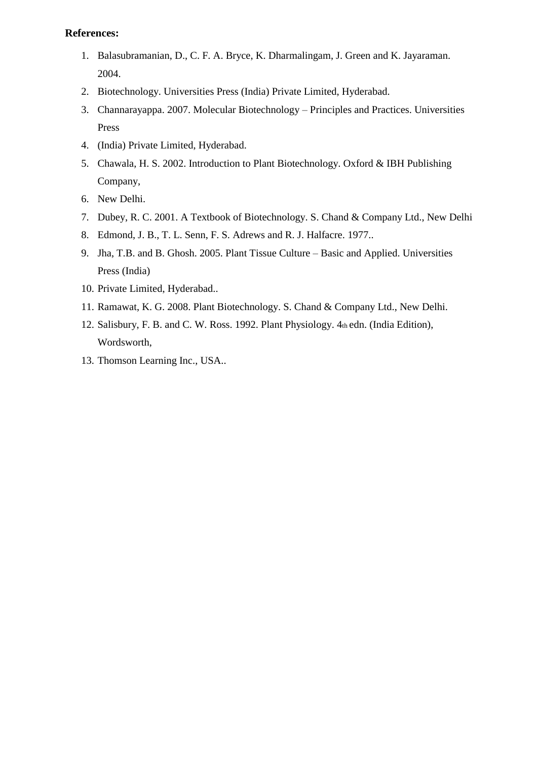- 1. Balasubramanian, D., C. F. A. Bryce, K. Dharmalingam, J. Green and K. Jayaraman. 2004.
- 2. Biotechnology. Universities Press (India) Private Limited, Hyderabad.
- 3. Channarayappa. 2007. Molecular Biotechnology Principles and Practices. Universities Press
- 4. (India) Private Limited, Hyderabad.
- 5. Chawala, H. S. 2002. Introduction to Plant Biotechnology. Oxford & IBH Publishing Company,
- 6. New Delhi.
- 7. Dubey, R. C. 2001. A Textbook of Biotechnology. S. Chand & Company Ltd., New Delhi
- 8. Edmond, J. B., T. L. Senn, F. S. Adrews and R. J. Halfacre. 1977..
- 9. Jha, T.B. and B. Ghosh. 2005. Plant Tissue Culture Basic and Applied. Universities Press (India)
- 10. Private Limited, Hyderabad..
- 11. Ramawat, K. G. 2008. Plant Biotechnology. S. Chand & Company Ltd., New Delhi.
- 12. Salisbury, F. B. and C. W. Ross. 1992. Plant Physiology. 4th edn. (India Edition), Wordsworth,
- 13. Thomson Learning Inc., USA..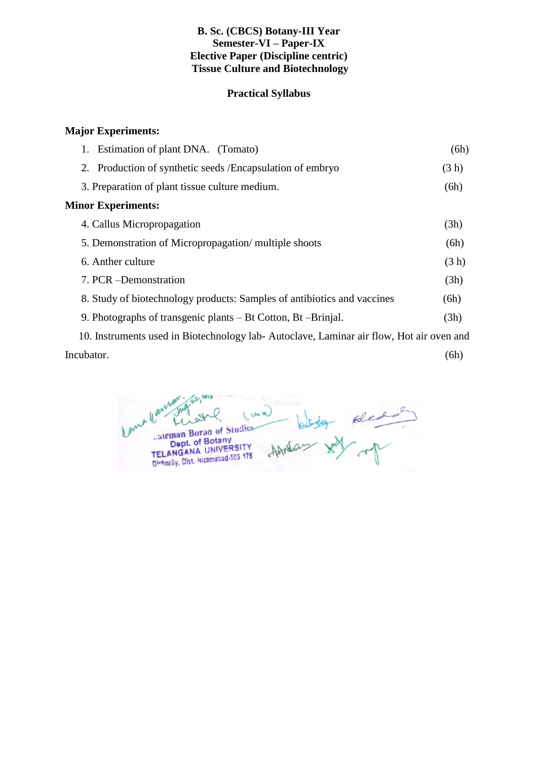### **B. Sc. (CBCS) Botany-III Year Semester-VI – Paper-IX Elective Paper (Discipline centric) Tissue Culture and Biotechnology**

### **Practical Syllabus**

### **Major Experiments:**

| 1. Estimation of plant DNA. (Tomato)                                                                                                                                                                                                                                                             | (6h)  |
|--------------------------------------------------------------------------------------------------------------------------------------------------------------------------------------------------------------------------------------------------------------------------------------------------|-------|
| 2. Production of synthetic seeds / Encapsulation of embryo                                                                                                                                                                                                                                       | (3 h) |
| 3. Preparation of plant tissue culture medium.                                                                                                                                                                                                                                                   | (6h)  |
| <b>Minor Experiments:</b>                                                                                                                                                                                                                                                                        |       |
| 4. Callus Micropropagation                                                                                                                                                                                                                                                                       | (3h)  |
| 5. Demonstration of Micropropagation/multiple shoots                                                                                                                                                                                                                                             | (6h)  |
| 6. Anther culture                                                                                                                                                                                                                                                                                | (3 h) |
| 7. PCR - Demonstration                                                                                                                                                                                                                                                                           | (3h)  |
| 8. Study of biotechnology products: Samples of antibiotics and vaccines                                                                                                                                                                                                                          | (6h)  |
| 9. Photographs of transgenic plants – Bt Cotton, Bt – Brinjal.                                                                                                                                                                                                                                   | (3h)  |
| $\mathbf{r}$ and $\mathbf{r}$ are $\mathbf{r}$ and $\mathbf{r}$ and $\mathbf{r}$ and $\mathbf{r}$ and $\mathbf{r}$ and $\mathbf{r}$ and $\mathbf{r}$ and $\mathbf{r}$ and $\mathbf{r}$ and $\mathbf{r}$ and $\mathbf{r}$ and $\mathbf{r}$ and $\mathbf{r}$ and $\mathbf{r}$ and $\mathbf{r}$ and |       |

 10. Instruments used in Biotechnology lab- Autoclave, Laminar air flow, Hot air oven and Incubator. (6h)

Howland soled **UMW** airman Borad of Studies Cairman Borad of Studies<br>Dept. of Botany<br>TELANGANA UNIVERSITY TELANGANA UNIVERSITY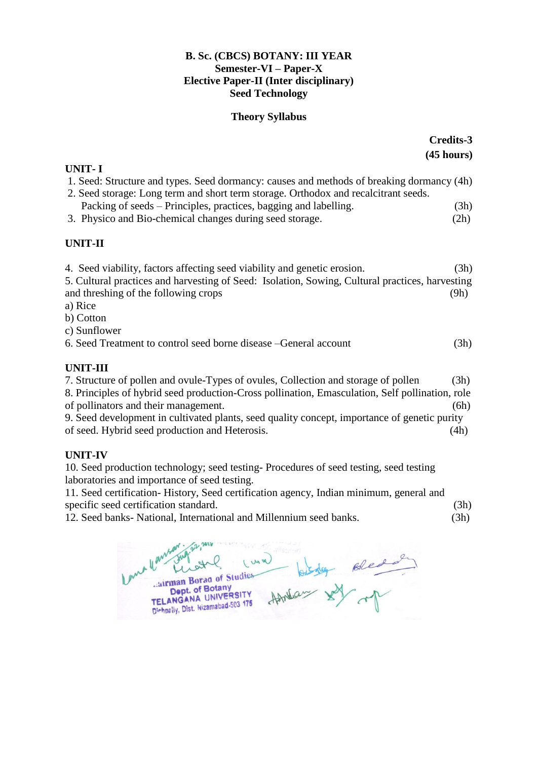### **B. Sc. (CBCS) BOTANY: III YEAR Semester-VI – Paper-X Elective Paper-II (Inter disciplinary) Seed Technology**

### **Theory Syllabus**

|                                                                                                                                                                                  | <b>Credits-3</b> |  |
|----------------------------------------------------------------------------------------------------------------------------------------------------------------------------------|------------------|--|
|                                                                                                                                                                                  | (45 hours)       |  |
| <b>UNIT-I</b>                                                                                                                                                                    |                  |  |
| 1. Seed: Structure and types. Seed dormancy: causes and methods of breaking dormancy (4h)<br>2. Seed storage: Long term and short term storage. Orthodox and recalcitrant seeds. |                  |  |
| Packing of seeds - Principles, practices, bagging and labelling.                                                                                                                 | (3h)             |  |
| 3. Physico and Bio-chemical changes during seed storage.                                                                                                                         | (2h)             |  |
| <b>UNIT-II</b>                                                                                                                                                                   |                  |  |
| 4. Seed viability, factors affecting seed viability and genetic erosion.                                                                                                         | (3h)             |  |
| 5. Cultural practices and harvesting of Seed: Isolation, Sowing, Cultural practices, harvesting                                                                                  |                  |  |
| and threshing of the following crops                                                                                                                                             | (9h)             |  |
| a) Rice                                                                                                                                                                          |                  |  |
| b) Cotton                                                                                                                                                                        |                  |  |
| c) Sunflower                                                                                                                                                                     |                  |  |
| 6. Seed Treatment to control seed borne disease – General account                                                                                                                | (3h)             |  |
| <b>UNIT-III</b>                                                                                                                                                                  |                  |  |
| 7. Structure of pollen and ovule-Types of ovules, Collection and storage of pollen                                                                                               | (3h)             |  |
| 8. Principles of hybrid seed production-Cross pollination, Emasculation, Self pollination, role                                                                                  |                  |  |
| of pollinators and their management.                                                                                                                                             | (6h)             |  |
| 9. Seed development in cultivated plants, seed quality concept, importance of genetic purity                                                                                     |                  |  |
| of seed. Hybrid seed production and Heterosis.                                                                                                                                   | (4h)             |  |
| <b>UNIT-IV</b>                                                                                                                                                                   |                  |  |
| 10. Seed production technology; seed testing-Procedures of seed testing, seed testing                                                                                            |                  |  |
| laboratories and importance of seed testing.                                                                                                                                     |                  |  |
| 11. Seed certification-History, Seed certification agency, Indian minimum, general and                                                                                           |                  |  |
| specific seed certification standard.                                                                                                                                            | (3h)             |  |
| 12. Seed banks- National, International and Millennium seed banks.                                                                                                               | (3h)             |  |
|                                                                                                                                                                                  |                  |  |

4 any Ink Luna Bledo<br>N N HAndrew airman Borad of Studies Lairman Borad of Studies<br>Dept. of Botany<br>TELANGANA UNIVERSITY<br>Dishpally, Dist. Nizamabad-503 175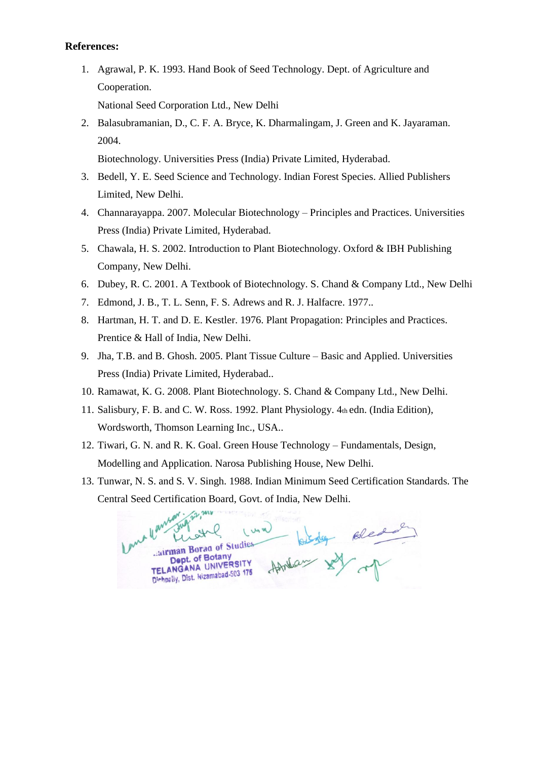1. Agrawal, P. K. 1993. Hand Book of Seed Technology. Dept. of Agriculture and Cooperation.

National Seed Corporation Ltd., New Delhi

2. Balasubramanian, D., C. F. A. Bryce, K. Dharmalingam, J. Green and K. Jayaraman. 2004.

Biotechnology. Universities Press (India) Private Limited, Hyderabad.

- 3. Bedell, Y. E. Seed Science and Technology. Indian Forest Species. Allied Publishers Limited, New Delhi.
- 4. Channarayappa. 2007. Molecular Biotechnology Principles and Practices. Universities Press (India) Private Limited, Hyderabad.
- 5. Chawala, H. S. 2002. Introduction to Plant Biotechnology. Oxford & IBH Publishing Company, New Delhi.
- 6. Dubey, R. C. 2001. A Textbook of Biotechnology. S. Chand & Company Ltd., New Delhi
- 7. Edmond, J. B., T. L. Senn, F. S. Adrews and R. J. Halfacre. 1977..
- 8. Hartman, H. T. and D. E. Kestler. 1976. Plant Propagation: Principles and Practices. Prentice & Hall of India, New Delhi.
- 9. Jha, T.B. and B. Ghosh. 2005. Plant Tissue Culture Basic and Applied. Universities Press (India) Private Limited, Hyderabad..
- 10. Ramawat, K. G. 2008. Plant Biotechnology. S. Chand & Company Ltd., New Delhi.
- 11. Salisbury, F. B. and C. W. Ross. 1992. Plant Physiology. 4th edn. (India Edition), Wordsworth, Thomson Learning Inc., USA..
- 12. Tiwari, G. N. and R. K. Goal. Green House Technology Fundamentals, Design, Modelling and Application. Narosa Publishing House, New Delhi.
- 13. Tunwar, N. S. and S. V. Singh. 1988. Indian Minimum Seed Certification Standards. The Central Seed Certification Board, Govt. of India, New Delhi.

u llan However the mother Luna airman Borag of Studies Dept. of Botany Dept. of Botary<br>MGANA UNIVERSITY TELANGANA UNIVERSI 175